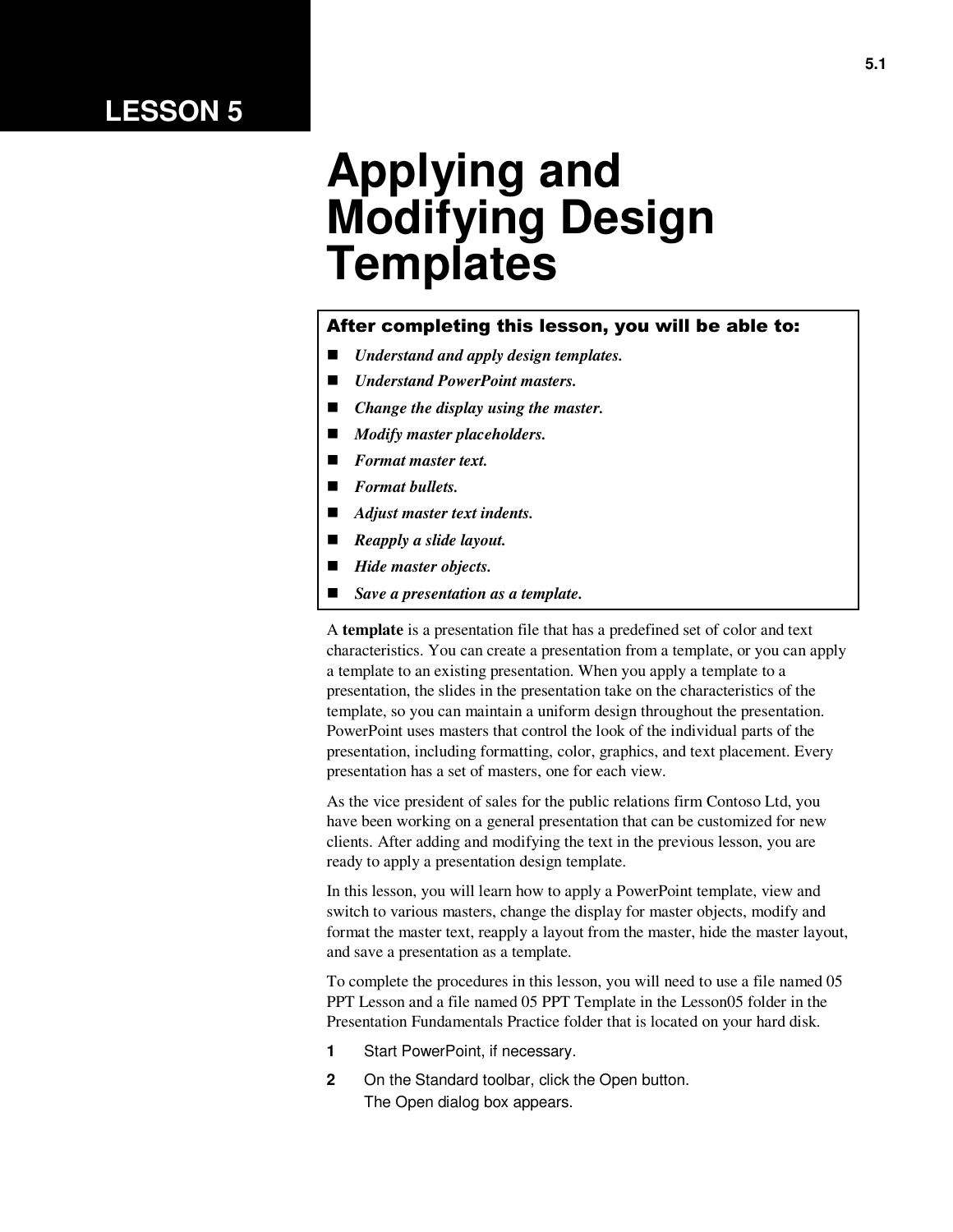## **LESSON 5**

# **Applying and Modifying Design Templates**

#### After completing this lesson, you will be able to:

- *Understand and apply design templates.*
- *Understand PowerPoint masters.*
- *Change the display using the master.*
- *Modify master placeholders.*
- *Format master text.*
- *Format bullets.*
- *Adjust master text indents.*
- *Reapply a slide layout.*
- *Hide master objects.*
- *Save a presentation as a template.*

A **template** is a presentation file that has a predefined set of color and text characteristics. You can create a presentation from a template, or you can apply a template to an existing presentation. When you apply a template to a presentation, the slides in the presentation take on the characteristics of the template, so you can maintain a uniform design throughout the presentation. PowerPoint uses masters that control the look of the individual parts of the presentation, including formatting, color, graphics, and text placement. Every presentation has a set of masters, one for each view.

As the vice president of sales for the public relations firm Contoso Ltd, you have been working on a general presentation that can be customized for new clients. After adding and modifying the text in the previous lesson, you are ready to apply a presentation design template.

In this lesson, you will learn how to apply a PowerPoint template, view and switch to various masters, change the display for master objects, modify and format the master text, reapply a layout from the master, hide the master layout, and save a presentation as a template.

To complete the procedures in this lesson, you will need to use a file named 05 PPT Lesson and a file named 05 PPT Template in the Lesson05 folder in the Presentation Fundamentals Practice folder that is located on your hard disk.

- **1** Start PowerPoint, if necessary.
- **2** On the Standard toolbar, click the Open button. The Open dialog box appears.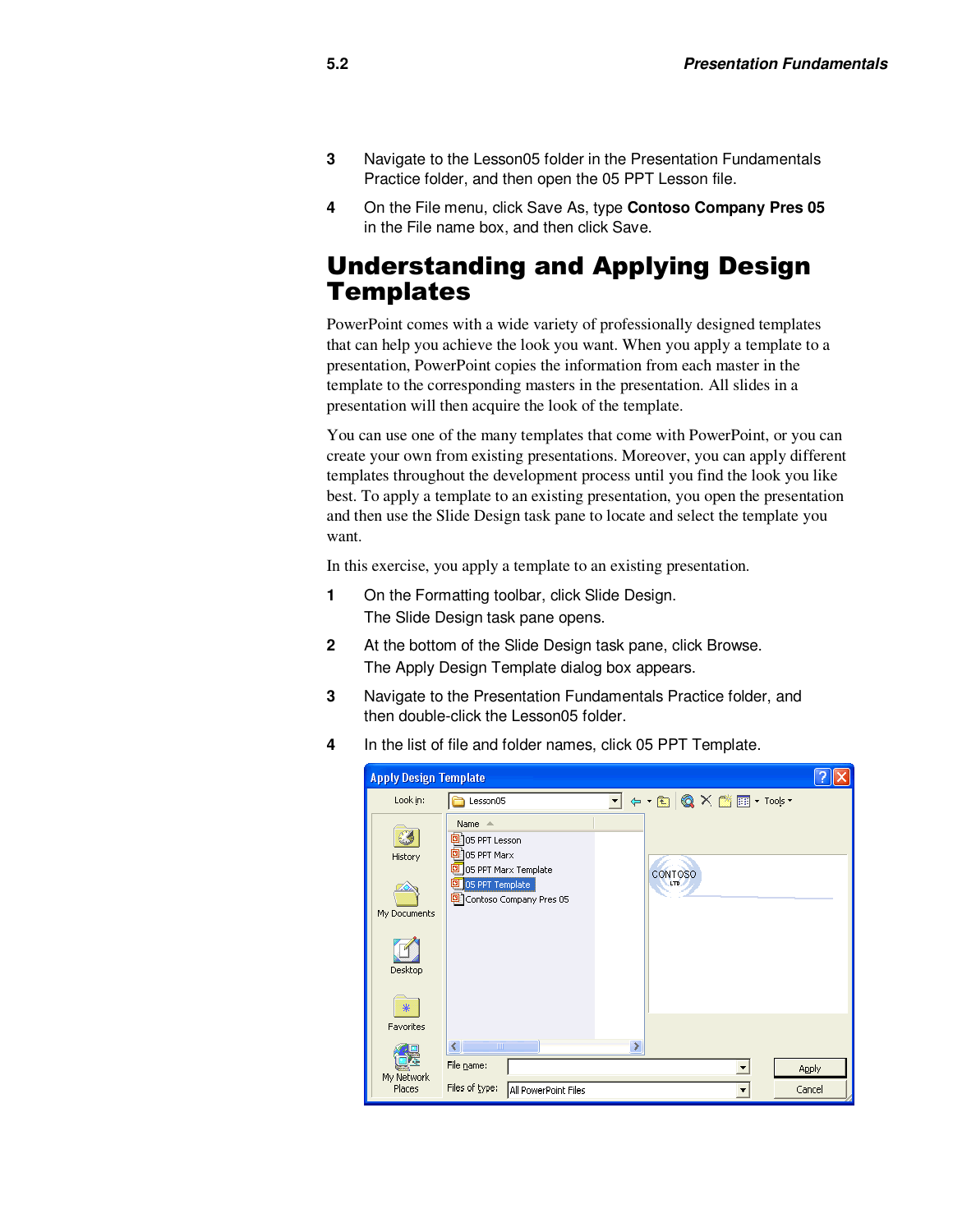- **3** Navigate to the Lesson05 folder in the Presentation Fundamentals Practice folder, and then open the 05 PPT Lesson file.
- **4** On the File menu, click Save As, type **Contoso Company Pres 05** in the File name box, and then click Save.

#### Understanding and Applying Design **Templates**

PowerPoint comes with a wide variety of professionally designed templates that can help you achieve the look you want. When you apply a template to a presentation, PowerPoint copies the information from each master in the template to the corresponding masters in the presentation. All slides in a presentation will then acquire the look of the template.

You can use one of the many templates that come with PowerPoint, or you can create your own from existing presentations. Moreover, you can apply different templates throughout the development process until you find the look you like best. To apply a template to an existing presentation, you open the presentation and then use the Slide Design task pane to locate and select the template you want.

In this exercise, you apply a template to an existing presentation.

- **1** On the Formatting toolbar, click Slide Design. The Slide Design task pane opens.
- **2** At the bottom of the Slide Design task pane, click Browse. The Apply Design Template dialog box appears.
- **3** Navigate to the Presentation Fundamentals Practice folder, and then double-click the Lesson05 folder.
- **4** In the list of file and folder names, click 05 PPT Template.

| <b>Apply Design Template</b>            |                                                                                                                                                         |                        |  |  |  |  |  |  |  |  |  |
|-----------------------------------------|---------------------------------------------------------------------------------------------------------------------------------------------------------|------------------------|--|--|--|--|--|--|--|--|--|
| Look in:                                | ▼ ⇔ • €   ◎ ✕ ජ ⊞ • Tools •<br>Lesson05                                                                                                                 |                        |  |  |  |  |  |  |  |  |  |
| History<br>My Documents<br>Desktop<br>⋇ | Name $\triangle$<br><sup>3</sup> 05 PPT Lesson<br>2105 PPT Marx<br>05 PPT Marx Template<br>CONTOSO<br>05 PPT Template<br>LTD<br>Contoso Company Pres 05 |                        |  |  |  |  |  |  |  |  |  |
| Favorites                               |                                                                                                                                                         |                        |  |  |  |  |  |  |  |  |  |
| My Network<br>Places                    | $\left\langle \right\rangle$<br>$\mathbb{H} \mathbb{H}$<br>File name:<br>Files of type:<br>All PowerPoint Files                                         | <b>Apply</b><br>Cancel |  |  |  |  |  |  |  |  |  |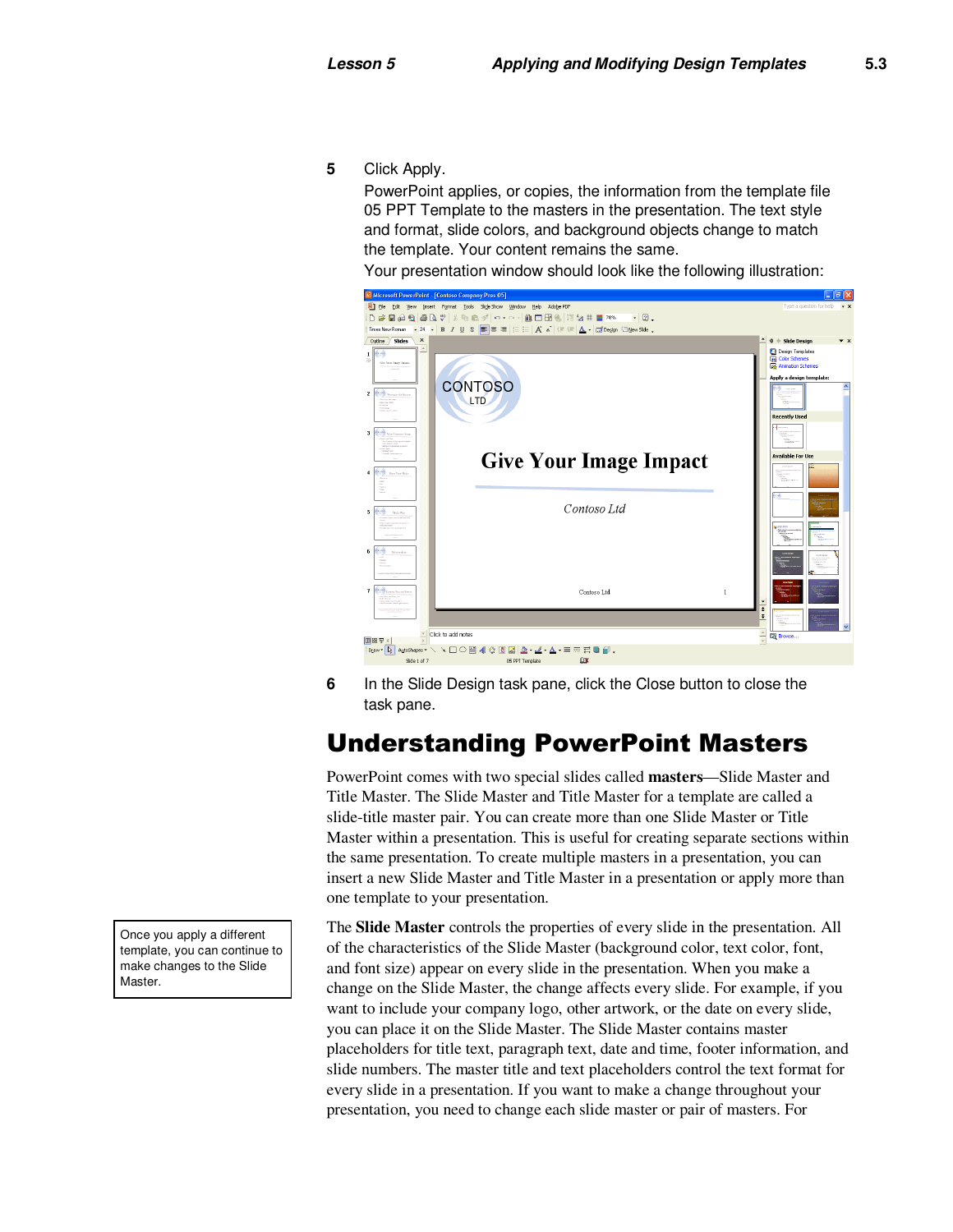**5** Click Apply.

PowerPoint applies, or copies, the information from the template file 05 PPT Template to the masters in the presentation. The text style and format, slide colors, and background objects change to match the template. Your content remains the same.

Your presentation window should look like the following illustration:



**6** In the Slide Design task pane, click the Close button to close the task pane.

### Understanding PowerPoint Masters

PowerPoint comes with two special slides called **masters**—Slide Master and Title Master. The Slide Master and Title Master for a template are called a slide-title master pair. You can create more than one Slide Master or Title Master within a presentation. This is useful for creating separate sections within the same presentation. To create multiple masters in a presentation, you can insert a new Slide Master and Title Master in a presentation or apply more than one template to your presentation.

The **Slide Master** controls the properties of every slide in the presentation. All of the characteristics of the Slide Master (background color, text color, font, and font size) appear on every slide in the presentation. When you make a change on the Slide Master, the change affects every slide. For example, if you want to include your company logo, other artwork, or the date on every slide, you can place it on the Slide Master. The Slide Master contains master placeholders for title text, paragraph text, date and time, footer information, and slide numbers. The master title and text placeholders control the text format for every slide in a presentation. If you want to make a change throughout your presentation, you need to change each slide master or pair of masters. For

Once you apply a different template, you can continue to make changes to the Slide Master.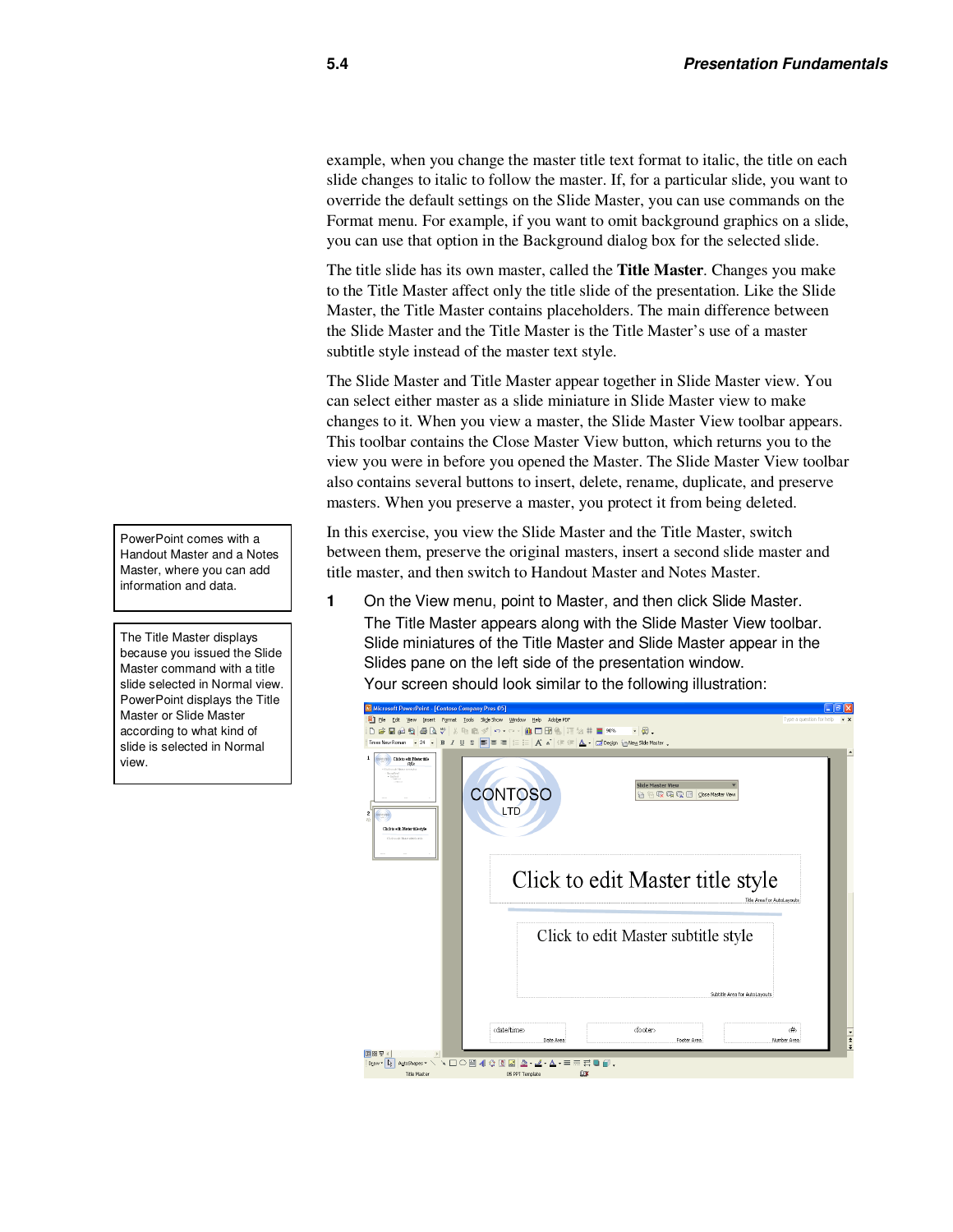example, when you change the master title text format to italic, the title on each slide changes to italic to follow the master. If, for a particular slide, you want to override the default settings on the Slide Master, you can use commands on the Format menu. For example, if you want to omit background graphics on a slide, you can use that option in the Background dialog box for the selected slide.

The title slide has its own master, called the **Title Master***.* Changes you make to the Title Master affect only the title slide of the presentation. Like the Slide Master, the Title Master contains placeholders. The main difference between the Slide Master and the Title Master is the Title Master's use of a master subtitle style instead of the master text style.

The Slide Master and Title Master appear together in Slide Master view. You can select either master as a slide miniature in Slide Master view to make changes to it. When you view a master, the Slide Master View toolbar appears. This toolbar contains the Close Master View button, which returns you to the view you were in before you opened the Master. The Slide Master View toolbar also contains several buttons to insert, delete, rename, duplicate, and preserve masters. When you preserve a master, you protect it from being deleted.

In this exercise, you view the Slide Master and the Title Master, switch between them, preserve the original masters, insert a second slide master and title master, and then switch to Handout Master and Notes Master.

**1** On the View menu, point to Master, and then click Slide Master. The Title Master appears along with the Slide Master View toolbar. Slide miniatures of the Title Master and Slide Master appear in the Slides pane on the left side of the presentation window. Your screen should look similar to the following illustration:

| <b>El Microsoft PowerPoint - [Contoso Company Pres 05]</b>                                                                                                                                                                                             |                                   |
|--------------------------------------------------------------------------------------------------------------------------------------------------------------------------------------------------------------------------------------------------------|-----------------------------------|
| Edit View Insert Format Tools Slide Show Window Help Adobe PDF<br>⊡ i Fle                                                                                                                                                                              | Type a question for help<br>$- x$ |
|                                                                                                                                                                                                                                                        |                                   |
| Times New Roman • 24 • B <i>I</i> U S B B E   E E   A A   使 使   A •   E   Degign in New Side Master                                                                                                                                                    |                                   |
| colonobo Click to edit Materitile<br>-1<br>stote<br>Click tools Monet test and<br><b>Slide Master View</b><br>CONTOSO<br>術名反扇豆 Sose Master View<br>LTD<br>$\overline{\mathbf{c}}$<br>Click to edit Matter title style<br>Click tools Motor which early |                                   |
| Click to edit Master title style<br>Title Area for AutoLavouts<br>Click to edit Master subtitle style                                                                                                                                                  |                                   |
| Subtitle Area for AutoLavouts<br><date time=""><br/><footer><br/>Date Area<br/>Number Area<br/>Footer Area</footer></date>                                                                                                                             | <#⊳<br>$\frac{1}{4}$              |
| 旧器室                                                                                                                                                                                                                                                    |                                   |
| AdoShapes ヽヽ□○图400回因2.4.A. = = = = □<br>Draw $\bullet$ 2<br>BX<br><b>Title Master</b><br>05 PPT Template                                                                                                                                               |                                   |

PowerPoint comes with a Handout Master and a Notes Master, where you can add information and data.

The Title Master displays because you issued the Slide Master command with a title slide selected in Normal view. PowerPoint displays the Title Master or Slide Master according to what kind of slide is selected in Normal view.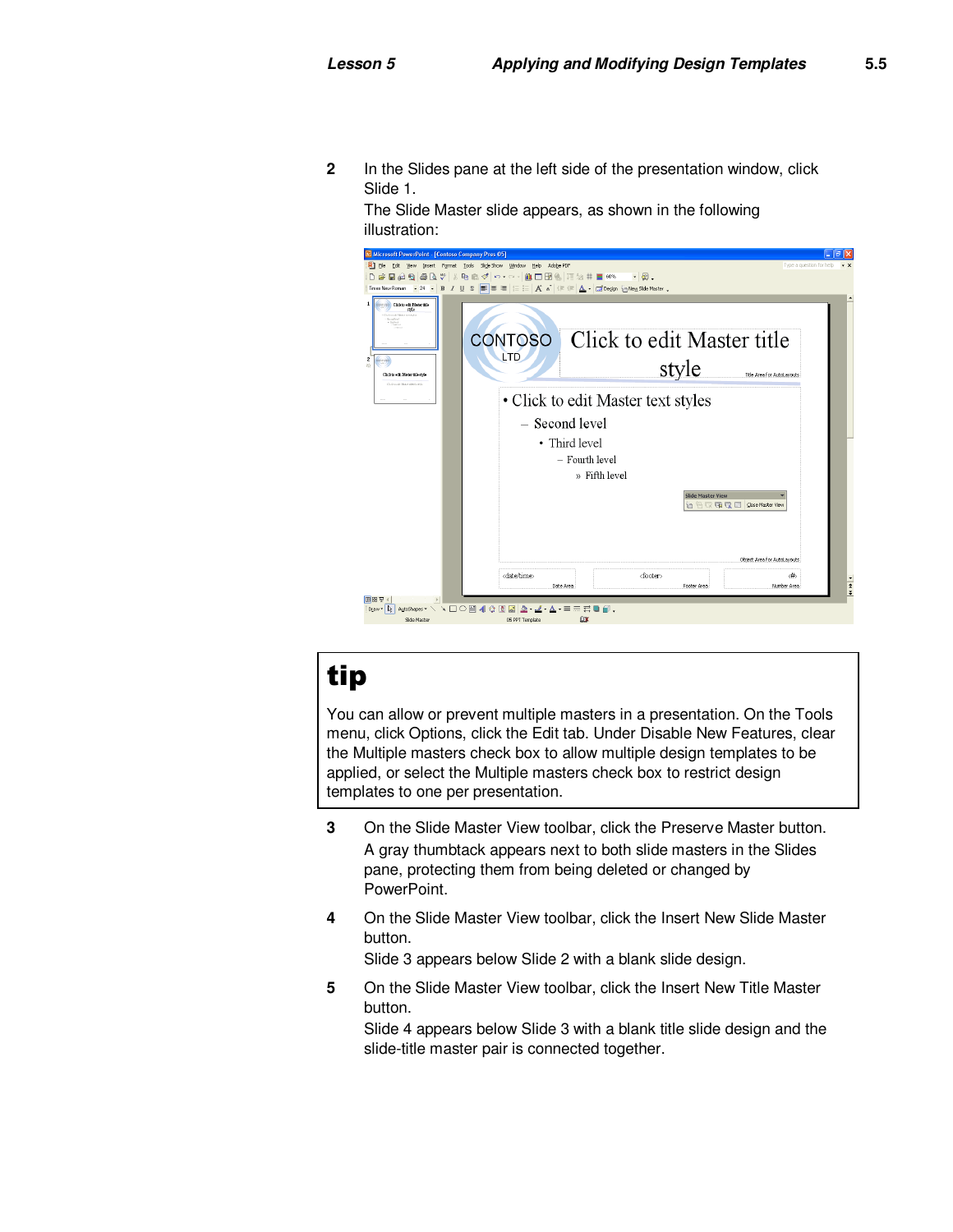**2** In the Slides pane at the left side of the presentation window, click Slide 1.

The Slide Master slide appears, as shown in the following illustration:



# tip

You can allow or prevent multiple masters in a presentation. On the Tools menu, click Options, click the Edit tab. Under Disable New Features, clear the Multiple masters check box to allow multiple design templates to be applied, or select the Multiple masters check box to restrict design templates to one per presentation.

- **3** On the Slide Master View toolbar, click the Preserve Master button. A gray thumbtack appears next to both slide masters in the Slides pane, protecting them from being deleted or changed by PowerPoint.
- **4** On the Slide Master View toolbar, click the Insert New Slide Master button.

Slide 3 appears below Slide 2 with a blank slide design.

**5** On the Slide Master View toolbar, click the Insert New Title Master button.

Slide 4 appears below Slide 3 with a blank title slide design and the slide-title master pair is connected together.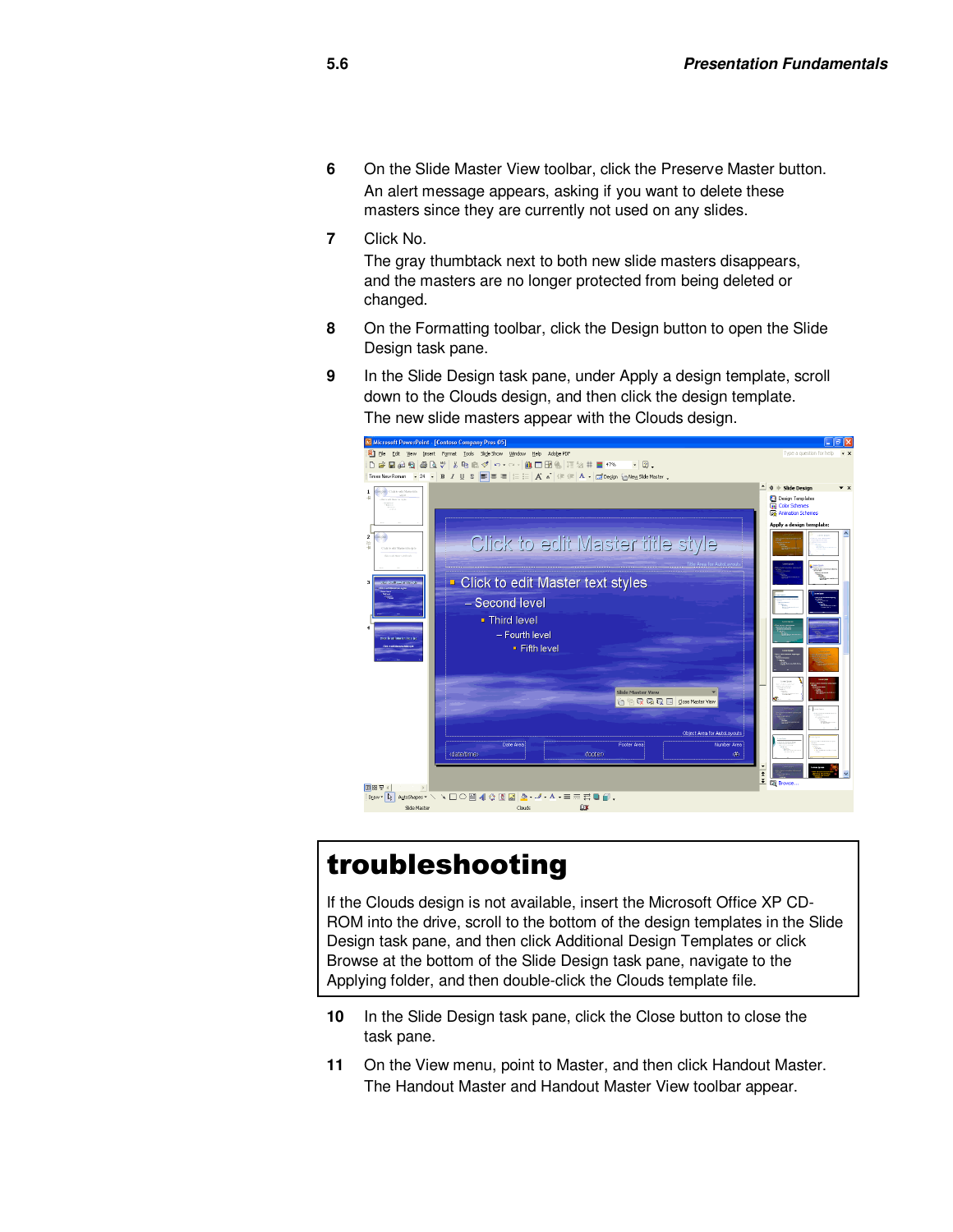- **6** On the Slide Master View toolbar, click the Preserve Master button. An alert message appears, asking if you want to delete these masters since they are currently not used on any slides.
- **7** Click No.

The gray thumbtack next to both new slide masters disappears, and the masters are no longer protected from being deleted or changed.

- **8** On the Formatting toolbar, click the Design button to open the Slide Design task pane.
- **9** In the Slide Design task pane, under Apply a design template, scroll down to the Clouds design, and then click the design template. The new slide masters appear with the Clouds design.



# troubleshooting

If the Clouds design is not available, insert the Microsoft Office XP CD-ROM into the drive, scroll to the bottom of the design templates in the Slide Design task pane, and then click Additional Design Templates or click Browse at the bottom of the Slide Design task pane, navigate to the Applying folder, and then double-click the Clouds template file.

- **10** In the Slide Design task pane, click the Close button to close the task pane.
- **11** On the View menu, point to Master, and then click Handout Master. The Handout Master and Handout Master View toolbar appear.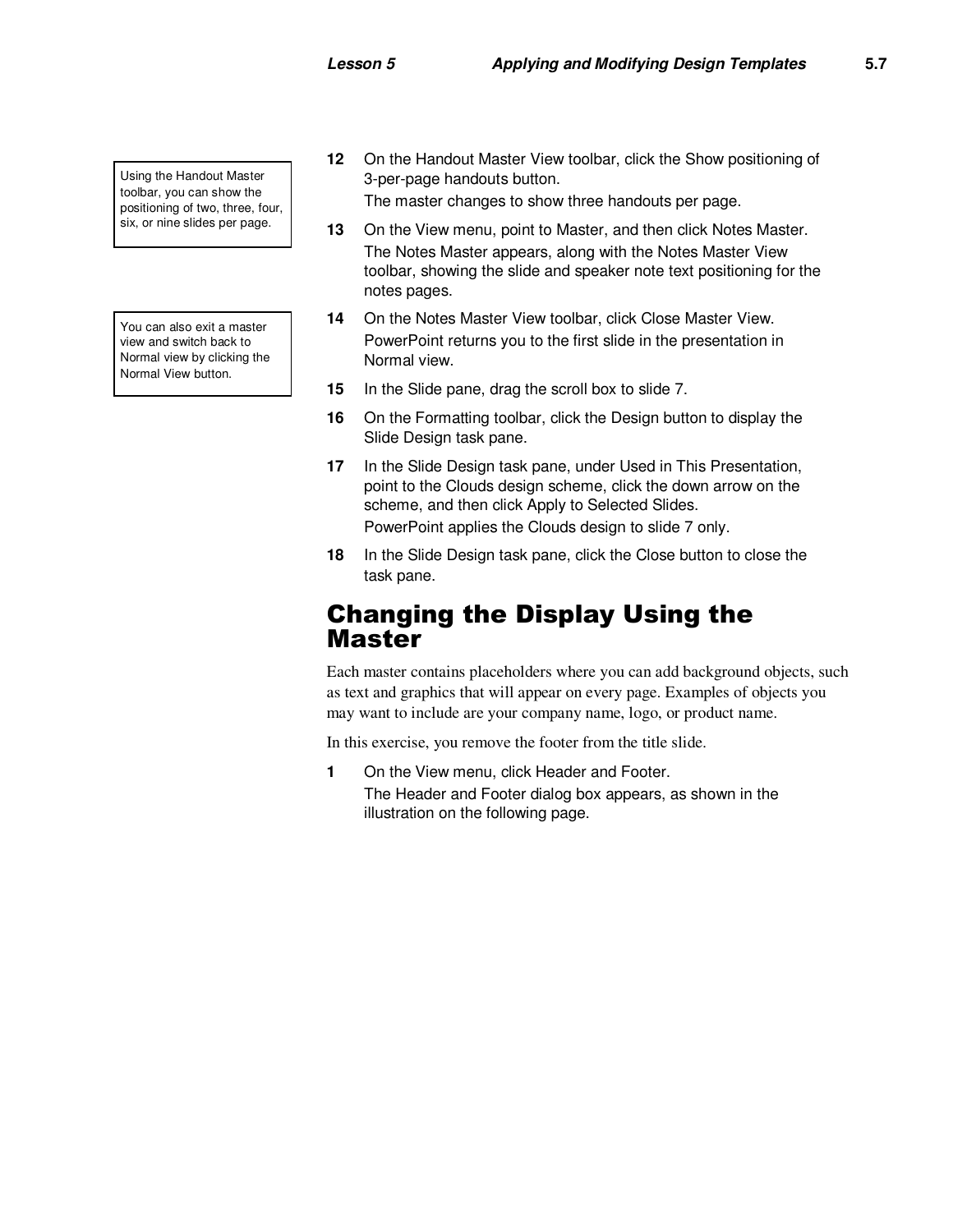Using the Handout Master toolbar, you can show the positioning of two, three, four, six, or nine slides per page.

You can also exit a master view and switch back to Normal view by clicking the Normal View button.

**12** On the Handout Master View toolbar, click the Show positioning of 3-per-page handouts button.

The master changes to show three handouts per page.

- **13** On the View menu, point to Master, and then click Notes Master. The Notes Master appears, along with the Notes Master View toolbar, showing the slide and speaker note text positioning for the notes pages.
- **14** On the Notes Master View toolbar, click Close Master View. PowerPoint returns you to the first slide in the presentation in Normal view.
- **15** In the Slide pane, drag the scroll box to slide 7.
- **16** On the Formatting toolbar, click the Design button to display the Slide Design task pane.
- **17** In the Slide Design task pane, under Used in This Presentation, point to the Clouds design scheme, click the down arrow on the scheme, and then click Apply to Selected Slides. PowerPoint applies the Clouds design to slide 7 only.
- **18** In the Slide Design task pane, click the Close button to close the task pane.

#### Changing the Display Using the Master

Each master contains placeholders where you can add background objects, such as text and graphics that will appear on every page. Examples of objects you may want to include are your company name, logo, or product name.

In this exercise, you remove the footer from the title slide.

**1** On the View menu, click Header and Footer. The Header and Footer dialog box appears, as shown in the illustration on the following page.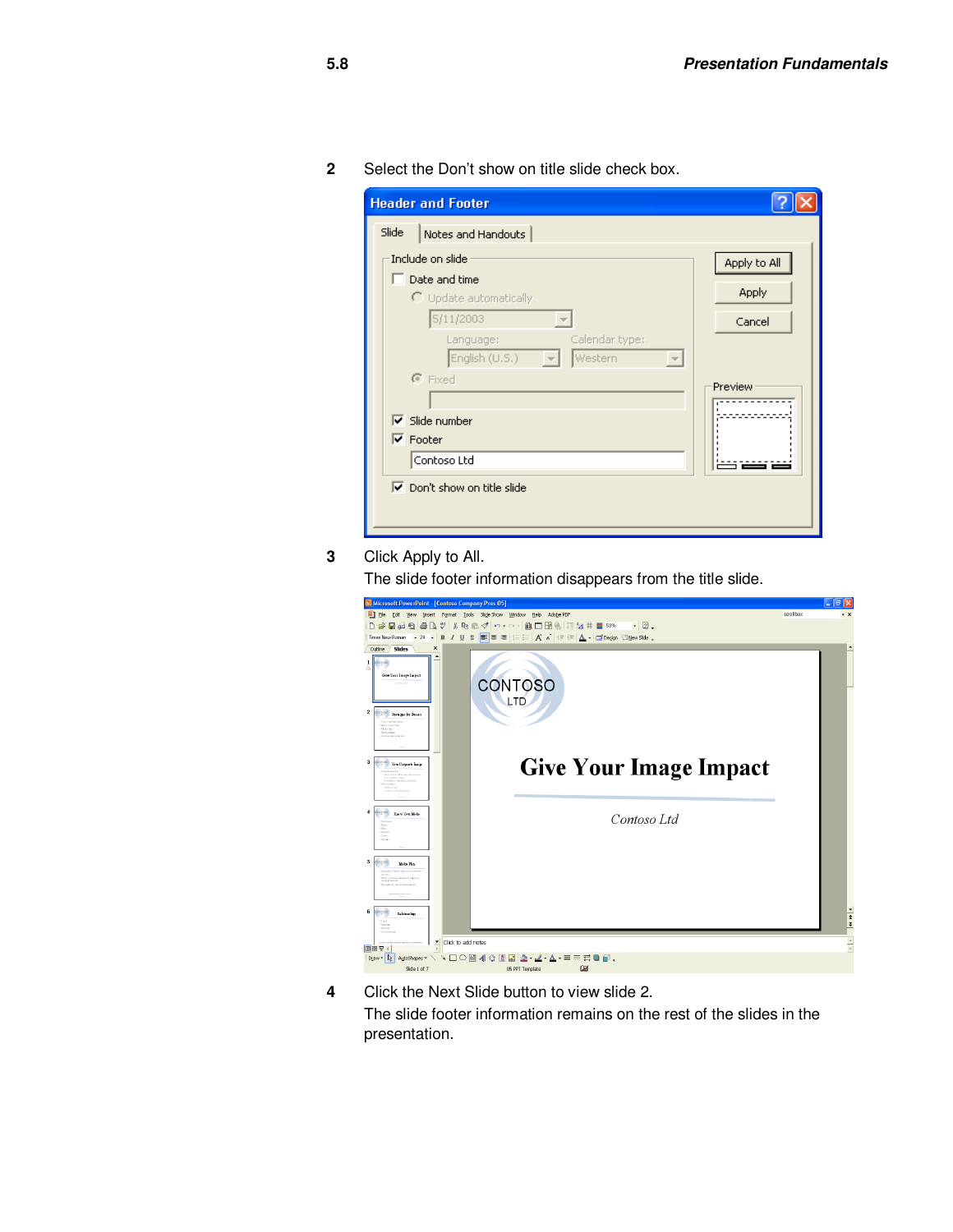**2** Select the Don't show on title slide check box.

|       | <b>Header and Footer</b>                                 |              |
|-------|----------------------------------------------------------|--------------|
| Slide | Notes and Handouts                                       |              |
|       | Include on slide<br>$\Box$ Date and time                 | Apply to All |
|       | $\bigcirc$ Update automatically                          | <b>Apply</b> |
|       | 5/11/2003                                                | Cancel       |
|       | Calendar type:<br>Language:<br>Western<br>English (U.S.) |              |
|       | $\odot$ Fixed                                            | Preview      |
|       | $\overline{\triangledown}$ Slide number                  |              |
|       | $\overline{\triangledown}$ Footer                        |              |
|       | Contoso Ltd                                              |              |
|       | $\nabla$ Don't show on title slide                       |              |

**3** Click Apply to All.

The slide footer information disappears from the title slide.

|                                                                                                                                                                                                                                                                                                                                                                                                                                                                                                                                                                                                                                                                                                                                                                                                                                                                                                                                                                                                                                                                                                                                                                                                            |            | Б                    |
|------------------------------------------------------------------------------------------------------------------------------------------------------------------------------------------------------------------------------------------------------------------------------------------------------------------------------------------------------------------------------------------------------------------------------------------------------------------------------------------------------------------------------------------------------------------------------------------------------------------------------------------------------------------------------------------------------------------------------------------------------------------------------------------------------------------------------------------------------------------------------------------------------------------------------------------------------------------------------------------------------------------------------------------------------------------------------------------------------------------------------------------------------------------------------------------------------------|------------|----------------------|
| [9] Elle Edit View Insert Format Tools Slide Show Window Help Adobe PDF                                                                                                                                                                                                                                                                                                                                                                                                                                                                                                                                                                                                                                                                                                                                                                                                                                                                                                                                                                                                                                                                                                                                    | scroll box | $- x$                |
| Microsoft PowerPoint - [Contoso Company Pres 05]<br>D # B # B & \$ X & B \$ n - a -   A - B &   H ½ = ■ 53% - -   2.<br>$\pmb{\times}$<br>Slides<br>Outline<br>$\blacktriangle$<br>$1$ $\omega$<br>龄<br>Give Your Image Impact<br><b>CONTOSO</b><br>LTD<br>$\overline{2}$<br>convice<br><b>Downparties Pressure</b><br>· Your corpore imper<br>· New permoin<br>104/44/80<br>· Salation des<br><b>Consus recent review</b><br>3<br><b>Give Your Image Impact</b><br><b>Ofother</b><br>Yes: Corporate Bangs<br>of her cars and Win-<br>· Revelauroe wikinsing and strept<br>tany annexes Siness<br>chains for<br><b>Enfance</b> No.<br><b>Country</b><br>$\overline{4}$<br>control<br>Energy View Middle<br>Contoso Ltd<br>·Televising<br>$-2x + 1$<br><b>China</b><br><b>Chador</b><br><b>COMPA</b><br>shown.<br>5<br><b>OFOTAX</b><br>Make Phia<br>·Result Cross de verbannel<br>· Reliev Connor-manager all paperty of<br>mode stages.<br>· Recognition Are postering heard<br>Distances are lighter study of<br>6<br>convice<br>Ishtenlip<br>stood.<br>- chies would<br><b>STOL</b><br><b>CAMATING</b><br>Click to add notes<br><b>国器要</b><br>Draw + 2<br>4 8 2 2 3 4 A = = = 0 0<br>▼□○圖<br>AutoShapes |            |                      |
|                                                                                                                                                                                                                                                                                                                                                                                                                                                                                                                                                                                                                                                                                                                                                                                                                                                                                                                                                                                                                                                                                                                                                                                                            |            |                      |
|                                                                                                                                                                                                                                                                                                                                                                                                                                                                                                                                                                                                                                                                                                                                                                                                                                                                                                                                                                                                                                                                                                                                                                                                            |            |                      |
|                                                                                                                                                                                                                                                                                                                                                                                                                                                                                                                                                                                                                                                                                                                                                                                                                                                                                                                                                                                                                                                                                                                                                                                                            |            |                      |
|                                                                                                                                                                                                                                                                                                                                                                                                                                                                                                                                                                                                                                                                                                                                                                                                                                                                                                                                                                                                                                                                                                                                                                                                            |            |                      |
|                                                                                                                                                                                                                                                                                                                                                                                                                                                                                                                                                                                                                                                                                                                                                                                                                                                                                                                                                                                                                                                                                                                                                                                                            |            |                      |
|                                                                                                                                                                                                                                                                                                                                                                                                                                                                                                                                                                                                                                                                                                                                                                                                                                                                                                                                                                                                                                                                                                                                                                                                            |            |                      |
|                                                                                                                                                                                                                                                                                                                                                                                                                                                                                                                                                                                                                                                                                                                                                                                                                                                                                                                                                                                                                                                                                                                                                                                                            |            |                      |
|                                                                                                                                                                                                                                                                                                                                                                                                                                                                                                                                                                                                                                                                                                                                                                                                                                                                                                                                                                                                                                                                                                                                                                                                            |            | $\frac{1}{2}$        |
|                                                                                                                                                                                                                                                                                                                                                                                                                                                                                                                                                                                                                                                                                                                                                                                                                                                                                                                                                                                                                                                                                                                                                                                                            |            | $\frac{1}{\sqrt{2}}$ |
|                                                                                                                                                                                                                                                                                                                                                                                                                                                                                                                                                                                                                                                                                                                                                                                                                                                                                                                                                                                                                                                                                                                                                                                                            |            |                      |
| Ø<br>Slide 1 of 7<br>05 PPT Template                                                                                                                                                                                                                                                                                                                                                                                                                                                                                                                                                                                                                                                                                                                                                                                                                                                                                                                                                                                                                                                                                                                                                                       |            |                      |

**4** Click the Next Slide button to view slide 2. The slide footer information remains on the rest of the slides in the presentation.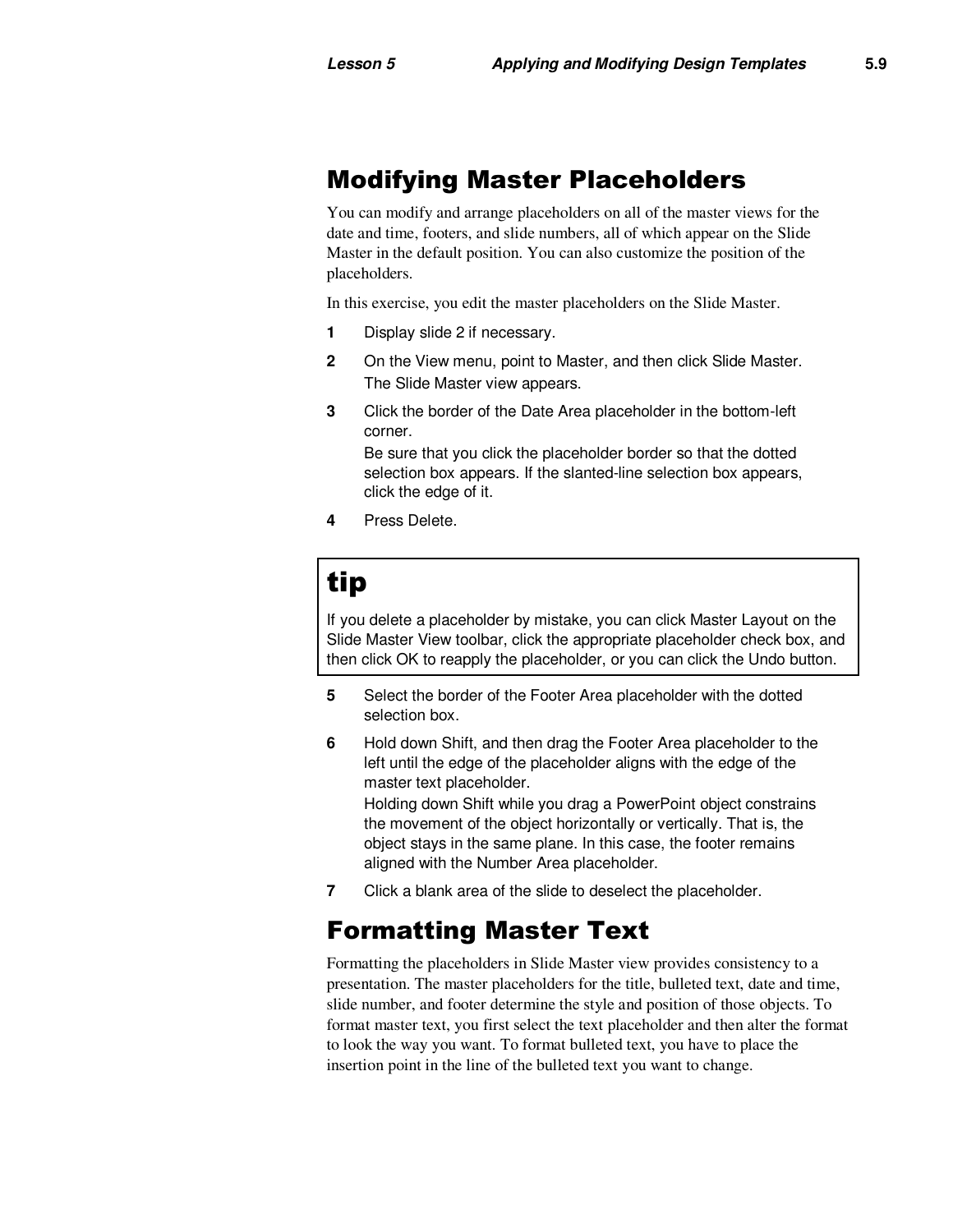### Modifying Master Placeholders

You can modify and arrange placeholders on all of the master views for the date and time, footers, and slide numbers, all of which appear on the Slide Master in the default position. You can also customize the position of the placeholders.

In this exercise, you edit the master placeholders on the Slide Master.

- **1** Display slide 2 if necessary.
- **2** On the View menu, point to Master, and then click Slide Master. The Slide Master view appears.
- **3** Click the border of the Date Area placeholder in the bottom-left corner.

Be sure that you click the placeholder border so that the dotted selection box appears. If the slanted-line selection box appears, click the edge of it.

**4** Press Delete.

# tip

If you delete a placeholder by mistake, you can click Master Layout on the Slide Master View toolbar, click the appropriate placeholder check box, and then click OK to reapply the placeholder, or you can click the Undo button.

- **5** Select the border of the Footer Area placeholder with the dotted selection box.
- **6** Hold down Shift, and then drag the Footer Area placeholder to the left until the edge of the placeholder aligns with the edge of the master text placeholder. Holding down Shift while you drag a PowerPoint object constrains the movement of the object horizontally or vertically. That is, the object stays in the same plane. In this case, the footer remains aligned with the Number Area placeholder.
- **7** Click a blank area of the slide to deselect the placeholder.

### Formatting Master Text

Formatting the placeholders in Slide Master view provides consistency to a presentation. The master placeholders for the title, bulleted text, date and time, slide number, and footer determine the style and position of those objects. To format master text, you first select the text placeholder and then alter the format to look the way you want. To format bulleted text, you have to place the insertion point in the line of the bulleted text you want to change.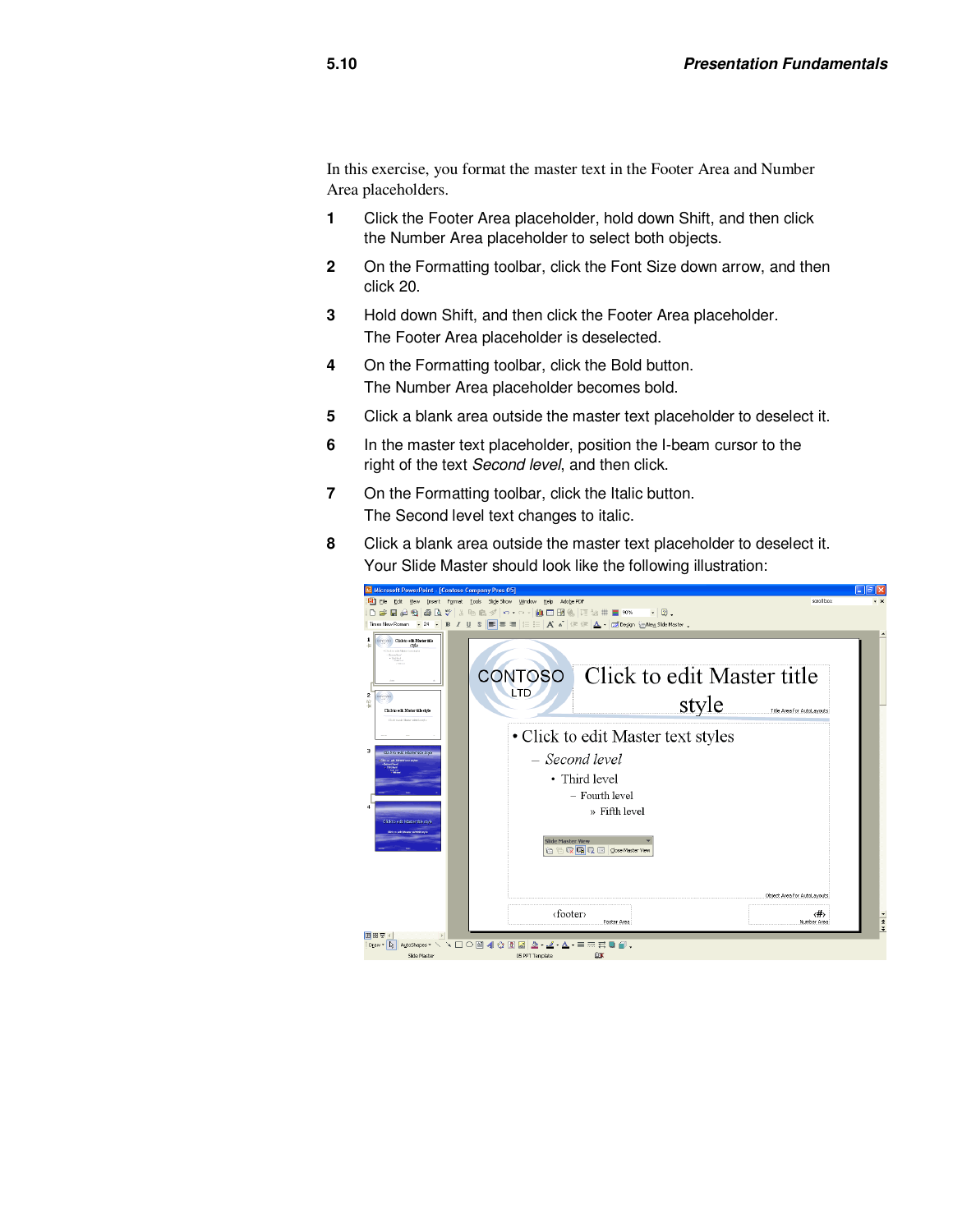In this exercise, you format the master text in the Footer Area and Number Area placeholders.

- **1** Click the Footer Area placeholder, hold down Shift, and then click the Number Area placeholder to select both objects.
- **2** On the Formatting toolbar, click the Font Size down arrow, and then click 20.
- **3** Hold down Shift, and then click the Footer Area placeholder. The Footer Area placeholder is deselected.
- **4** On the Formatting toolbar, click the Bold button. The Number Area placeholder becomes bold.
- **5** Click a blank area outside the master text placeholder to deselect it.
- **6** In the master text placeholder, position the I-beam cursor to the right of the text Second level, and then click.
- **7** On the Formatting toolbar, click the Italic button. The Second level text changes to italic.
- **8** Click a blank area outside the master text placeholder to deselect it. Your Slide Master should look like the following illustration:

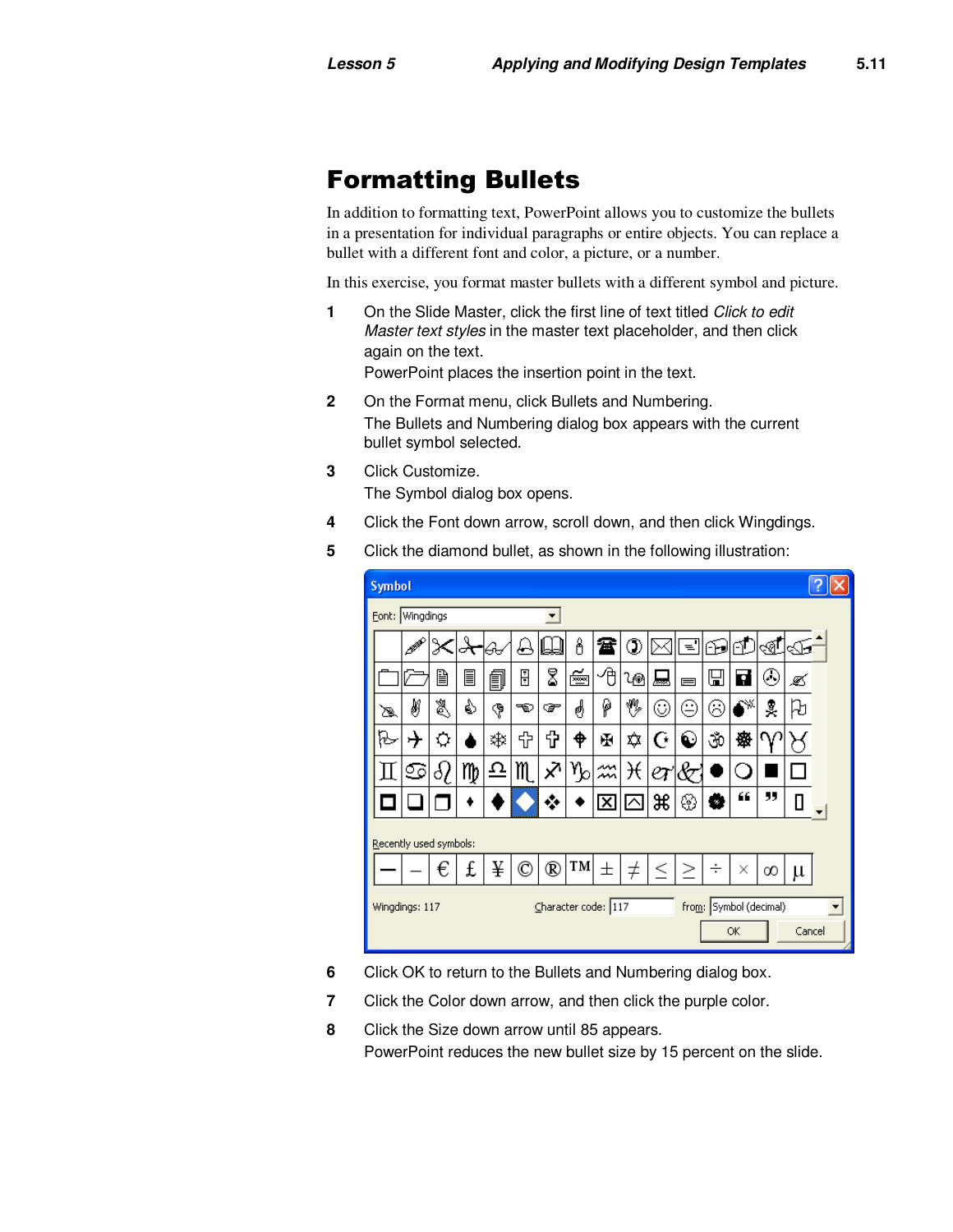## Formatting Bullets

In addition to formatting text, PowerPoint allows you to customize the bullets in a presentation for individual paragraphs or entire objects. You can replace a bullet with a different font and color, a picture, or a number.

In this exercise, you format master bullets with a different symbol and picture.

**1** On the Slide Master, click the first line of text titled *Click to edit* Master text styles in the master text placeholder, and then click again on the text.

PowerPoint places the insertion point in the text.

- **2** On the Format menu, click Bullets and Numbering. The Bullets and Numbering dialog box appears with the current bullet symbol selected.
- **3** Click Customize.

The Symbol dialog box opens.

**4** Click the Font down arrow, scroll down, and then click Wingdings.

| 5 | Click the diamond bullet, as shown in the following illustration: |  |
|---|-------------------------------------------------------------------|--|
|   |                                                                   |  |

| <b>Symbol</b>                         |          |    |    |    |              |                    |    |                         |                     |       |          |    |                        |        |     |  |  |
|---------------------------------------|----------|----|----|----|--------------|--------------------|----|-------------------------|---------------------|-------|----------|----|------------------------|--------|-----|--|--|
| Eont: Wingdings<br>▼                  |          |    |    |    |              |                    |    |                         |                     |       |          |    |                        |        |     |  |  |
|                                       | <b>A</b> |    |    | ΘΘ | ⊌            | W                  | δ  | 當                       | ◑                   |       | ਵ        | 69 | FL                     | ্রু    | ব্য |  |  |
|                                       |          | B  | l  | 卽  | Ū            | 8                  | ≝  | ゆ                       | પ⊚                  | ᆋ     | $\equiv$ | ⊞  | Ø                      | ⊛      |     |  |  |
| ත                                     | ø        | 怱  | s  | Ģ  | ాఖ           | ☞                  | ☝  | ρ                       | ₩                   | ⊙     | Ξ        | ⊛  | CX.                    | Å      | 凡   |  |  |
| B                                     |          | Q  |    | *≸ | 랍.           | ⅌                  | ቀ  | Ŧ                       | ✿                   | G     | ◐        | 0ق | 橃                      | W      |     |  |  |
| Н                                     | ♋        | 81 | mp | 으  | m            | $\bar{\mathsf{x}}$ | ሌ  | м                       | ₩                   | er    | łо       |    |                        |        |     |  |  |
|                                       |          |    |    |    |              |                    |    | $\overline{\mathsf{x}}$ | $\overline{\wedge}$ | æ     | ⊛        | W  | 66                     | 99     | П   |  |  |
| Recently used symbols:                |          |    |    |    |              |                    |    |                         |                     |       |          |    |                        |        |     |  |  |
|                                       |          | ╒  | £  | ¥  | $\mathbb{C}$ | $^\circledR$       | TM | 士                       | $^\pm$              | $\,<$ | ↗        | ÷  | ×                      | ∞      | μ   |  |  |
| Character code: 117<br>Wingdings: 117 |          |    |    |    |              |                    |    |                         |                     |       |          | OK | from: Symbol (decimal) | Cancel |     |  |  |

- **6** Click OK to return to the Bullets and Numbering dialog box.
- **7** Click the Color down arrow, and then click the purple color.
- **8** Click the Size down arrow until 85 appears. PowerPoint reduces the new bullet size by 15 percent on the slide.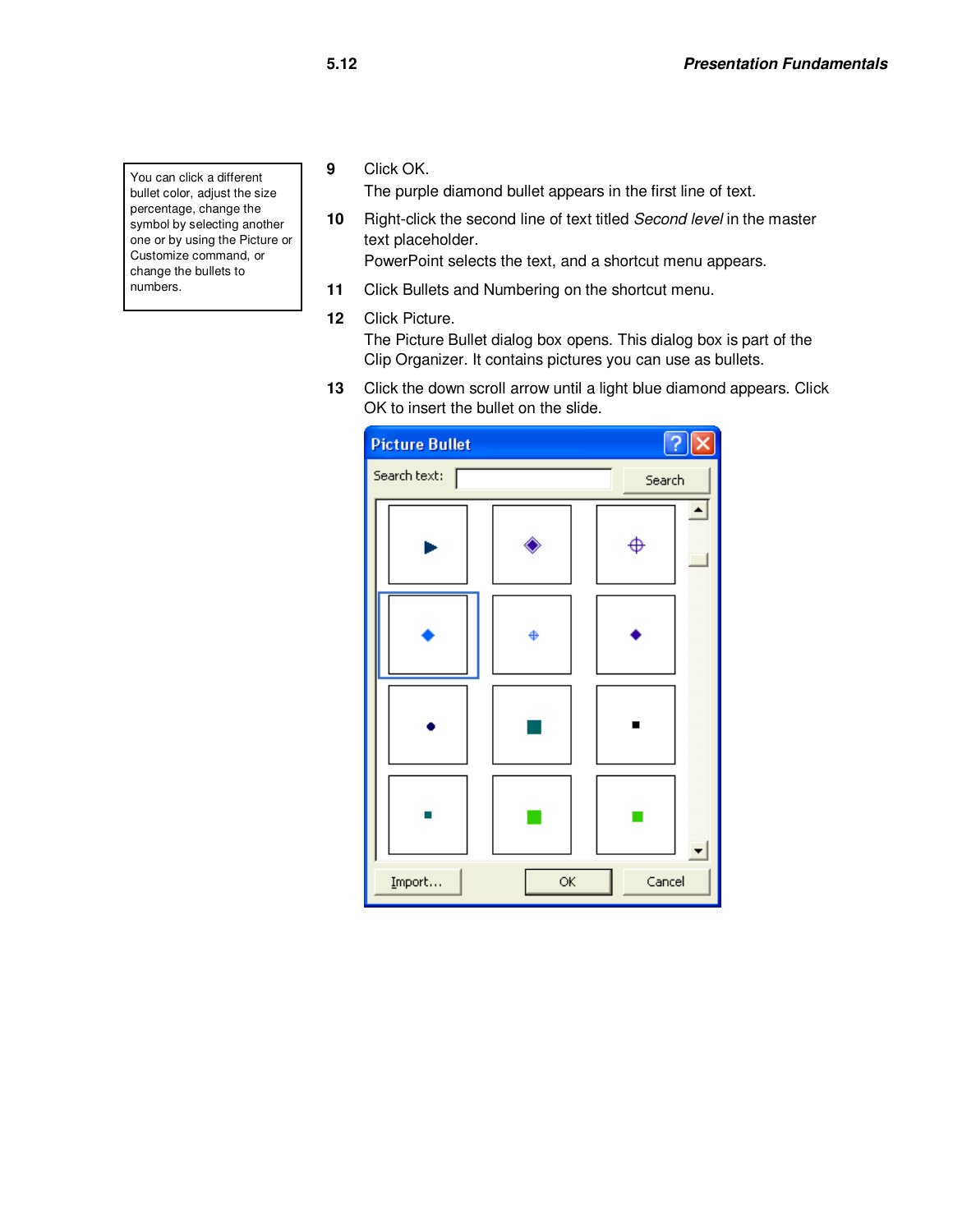You can click a different bullet color, adjust the size percentage, change the symbol by selecting another one or by using the Picture or Customize command, or change the bullets to numbers.

**9** Click OK.

The purple diamond bullet appears in the first line of text.

**10** Right-click the second line of text titled Second level in the master text placeholder.

PowerPoint selects the text, and a shortcut menu appears.

- **11** Click Bullets and Numbering on the shortcut menu.
- **12** Click Picture.

The Picture Bullet dialog box opens. This dialog box is part of the Clip Organizer. It contains pictures you can use as bullets.

**13** Click the down scroll arrow until a light blue diamond appears. Click OK to insert the bullet on the slide.

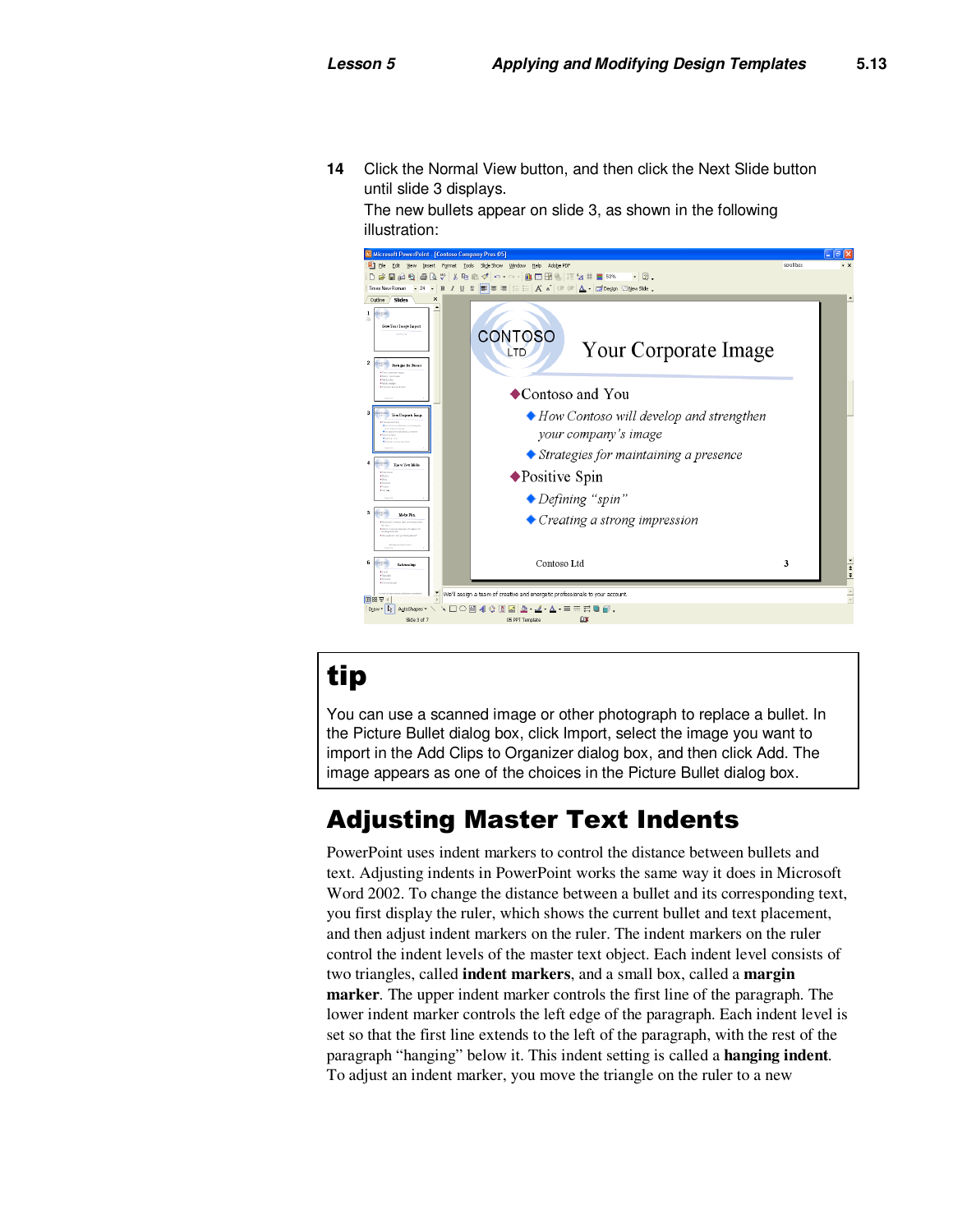**14** Click the Normal View button, and then click the Next Slide button until slide 3 displays.

The new bullets appear on slide 3, as shown in the following illustration:



# tip

You can use a scanned image or other photograph to replace a bullet. In the Picture Bullet dialog box, click Import, select the image you want to import in the Add Clips to Organizer dialog box, and then click Add. The image appears as one of the choices in the Picture Bullet dialog box.

# Adjusting Master Text Indents

PowerPoint uses indent markers to control the distance between bullets and text. Adjusting indents in PowerPoint works the same way it does in Microsoft Word 2002. To change the distance between a bullet and its corresponding text, you first display the ruler, which shows the current bullet and text placement, and then adjust indent markers on the ruler. The indent markers on the ruler control the indent levels of the master text object. Each indent level consists of two triangles, called **indent markers**, and a small box, called a **margin marker***.* The upper indent marker controls the first line of the paragraph. The lower indent marker controls the left edge of the paragraph. Each indent level is set so that the first line extends to the left of the paragraph, with the rest of the paragraph "hanging" below it. This indent setting is called a **hanging indent***.*  To adjust an indent marker, you move the triangle on the ruler to a new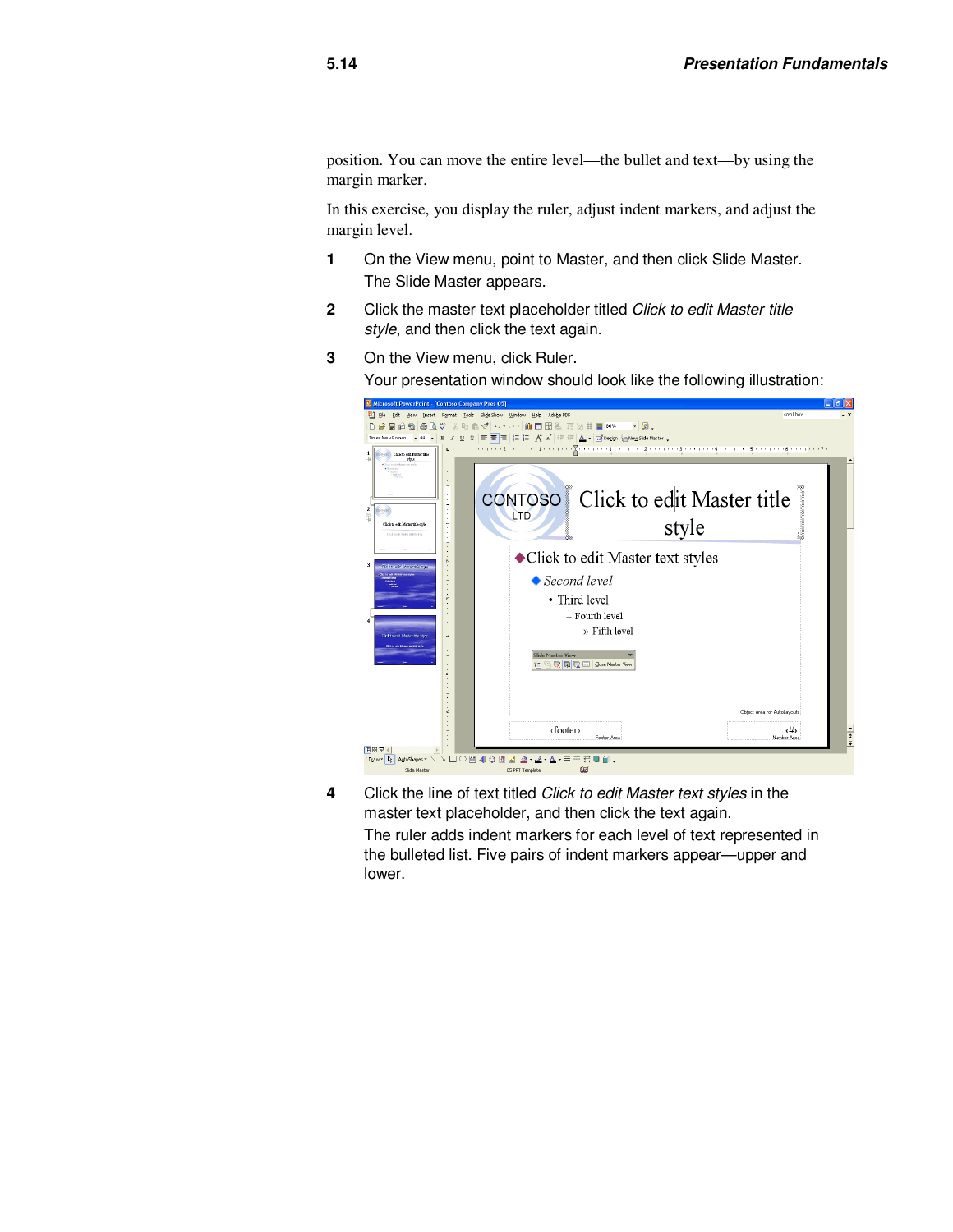position. You can move the entire level—the bullet and text—by using the margin marker.

In this exercise, you display the ruler, adjust indent markers, and adjust the margin level.

- **1** On the View menu, point to Master, and then click Slide Master. The Slide Master appears.
- **2** Click the master text placeholder titled Click to edit Master title style, and then click the text again.

**3** On the View menu, click Ruler.

- Your presentation window should look like the following illustration: **B** Mi - 10 X **O** B  $Heb$ Adobe P  $\Box \ncong \blacksquare \oslash \lozenge \boxtimes \lvert \oslash \oslash \nabla \rvert \times$ mado. **ADDES** IT 21 E 88%  $\cdot$   $|$   $\otimes$  . Threshev Roman → H → B / U S S S S S E E A <sup>x</sup> ( C C L A C C Degan ) New Side Max<br>1 Contract Meantail **Click to edit Ma** Click to edit Master title **CONTOSO** LTD style ◆ Click to edit Master text styles Second level • Third level  $-$  Fourth level  $\times$ Fifth level **Ga** C El glose Master bject Area for AutoLayouts  $\leftrightarrow$ <br>Number Area  $\langle\text{footer}\rangle$ Footer Area  $\begin{array}{|l|c|c|c|}\hline \textbf{H} & \textbf{H} & \textbf{H} & \textbf{H} \\ \hline \textbf{H} & \textbf{D}_{\textbf{L}} & \textbf{D}_{\textbf{L}} & \textbf{D}_{\textbf{L}} & \textbf{D}_{\textbf{L}} \\ \hline \textbf{H} & \textbf{D}_{\textbf{L}} & \textbf{D}_{\textbf{L}} & \textbf{D}_{\textbf{L}} & \textbf{D}_{\textbf{L}} & \textbf{D}_{\textbf{L}} \\ \hline \textbf{H} & \textbf{D}_{\textbf{L}} & \textbf{D}_{\textbf{L}} & \text$  $\begin{array}{c} \ddots \Box \bigcirc \boxplus 4 \bigcirc \boxplus \boxplus 2 \cdot \mathscr{L} \cdot \Delta \cdot \equiv \end{array}$ EBØ. Slide Master
- **4** Click the line of text titled Click to edit Master text styles in the master text placeholder, and then click the text again. The ruler adds indent markers for each level of text represented in the bulleted list. Five pairs of indent markers appear—upper and lower.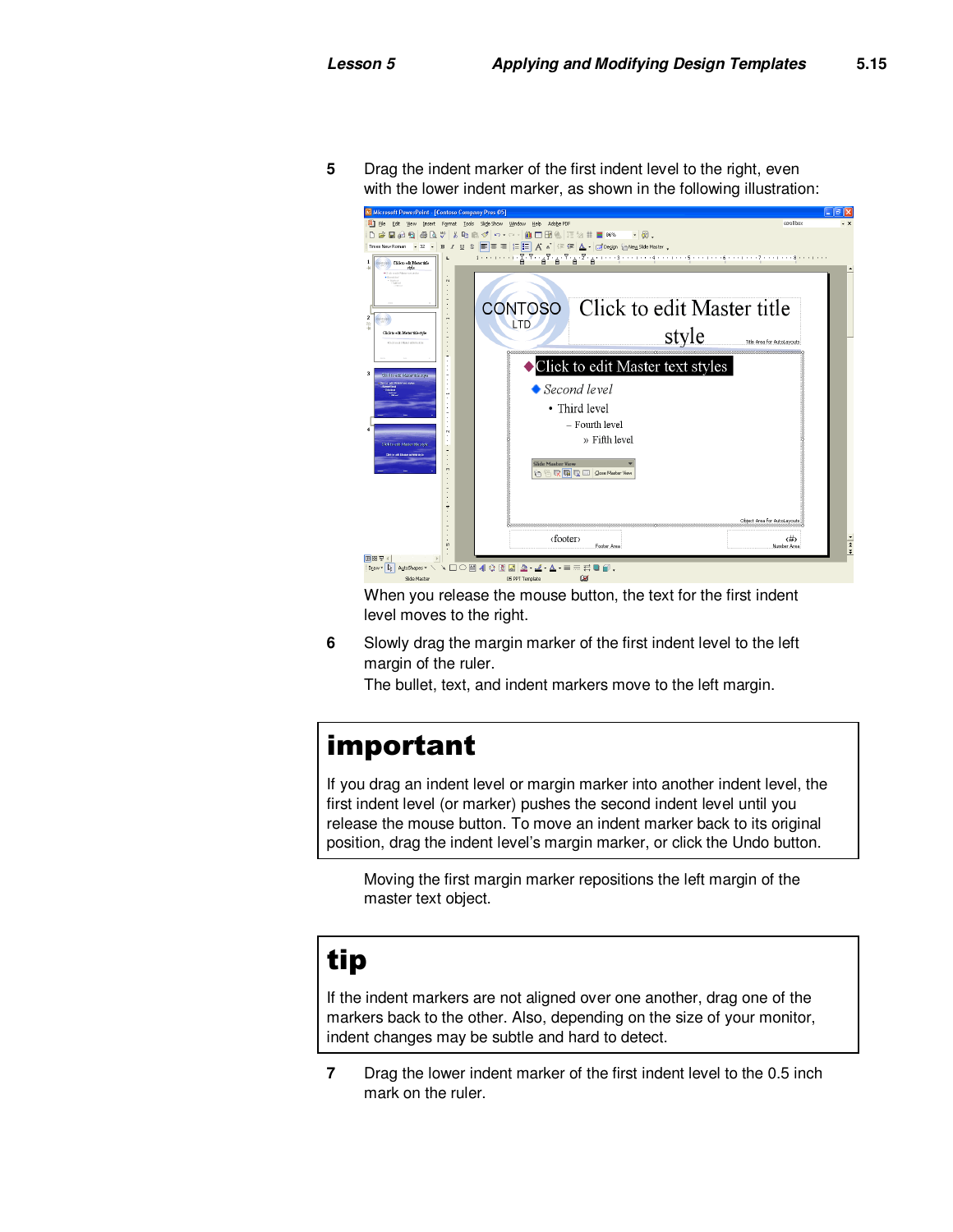**5** Drag the indent marker of the first indent level to the right, even with the lower indent marker, as shown in the following illustration:



When you release the mouse button, the text for the first indent level moves to the right.

**6** Slowly drag the margin marker of the first indent level to the left margin of the ruler.

The bullet, text, and indent markers move to the left margin.

# important

If you drag an indent level or margin marker into another indent level, the first indent level (or marker) pushes the second indent level until you release the mouse button. To move an indent marker back to its original position, drag the indent level's margin marker, or click the Undo button.

Moving the first margin marker repositions the left margin of the master text object.

# tip

If the indent markers are not aligned over one another, drag one of the markers back to the other. Also, depending on the size of your monitor, indent changes may be subtle and hard to detect.

**7** Drag the lower indent marker of the first indent level to the 0.5 inch mark on the ruler.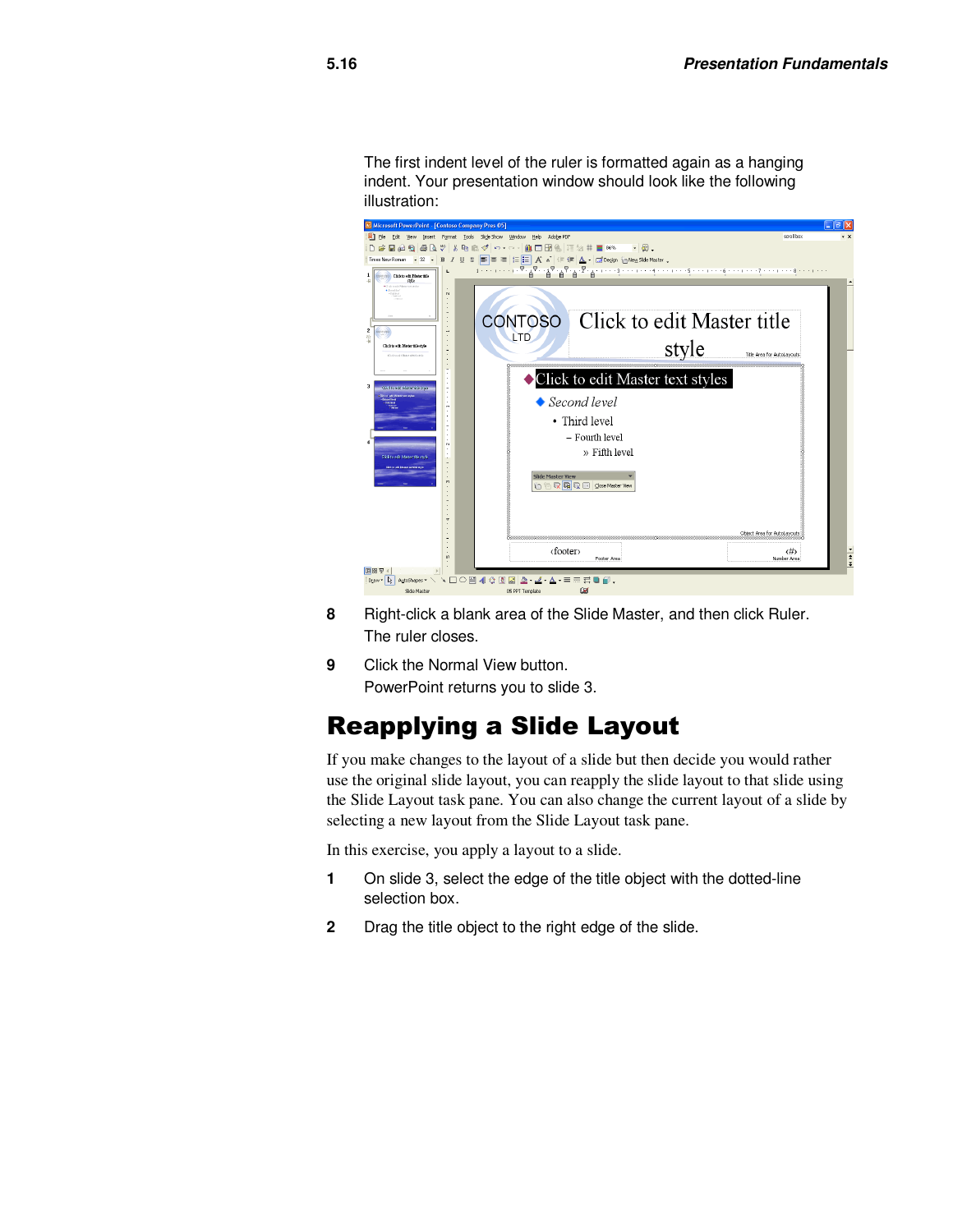The first indent level of the ruler is formatted again as a hanging indent. Your presentation window should look like the following illustration:



- **8** Right-click a blank area of the Slide Master, and then click Ruler. The ruler closes.
- **9** Click the Normal View button. PowerPoint returns you to slide 3.

### Reapplying a Slide Layout

If you make changes to the layout of a slide but then decide you would rather use the original slide layout, you can reapply the slide layout to that slide using the Slide Layout task pane. You can also change the current layout of a slide by selecting a new layout from the Slide Layout task pane.

In this exercise, you apply a layout to a slide.

- **1** On slide 3, select the edge of the title object with the dotted-line selection box.
- **2** Drag the title object to the right edge of the slide.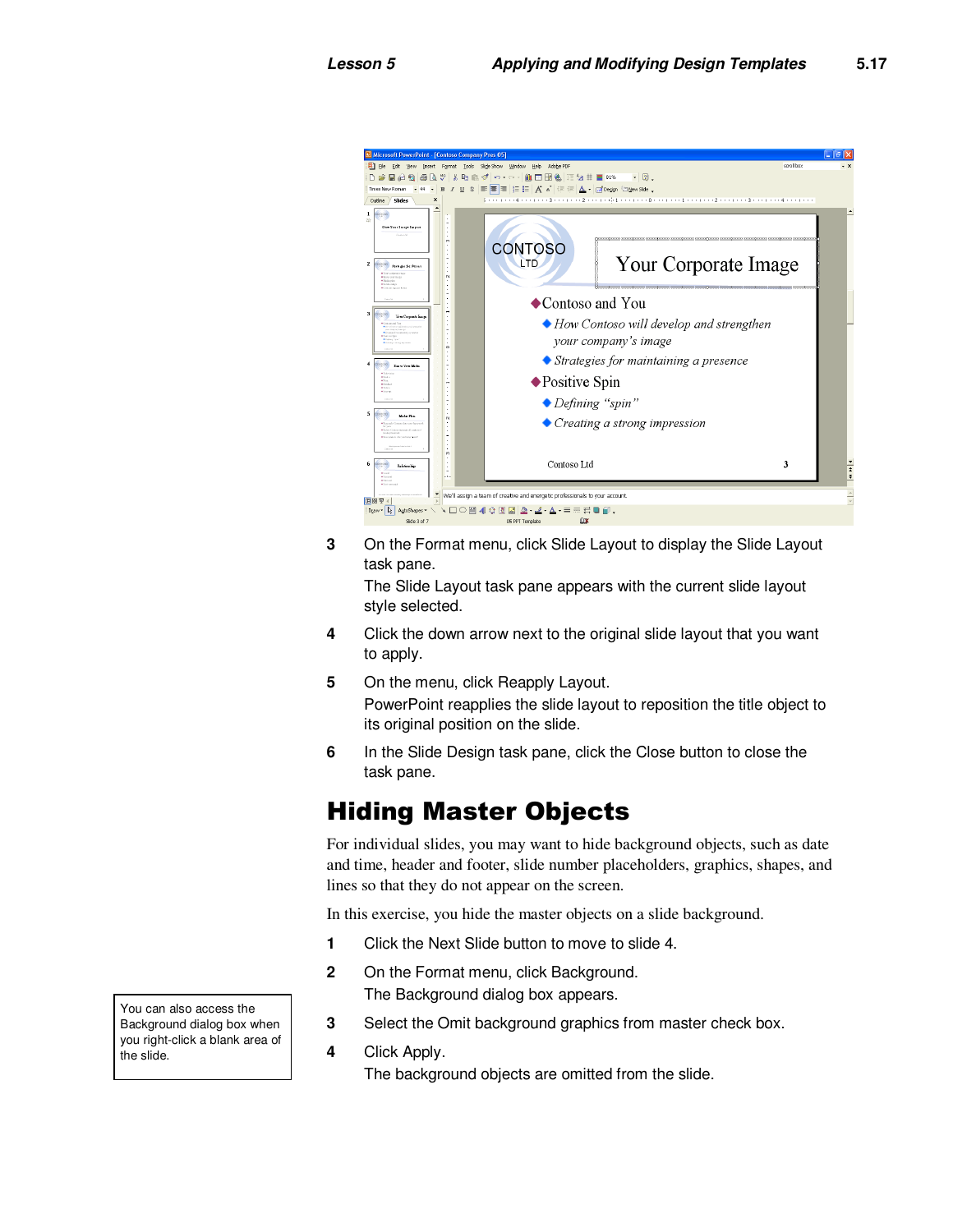

**3** On the Format menu, click Slide Layout to display the Slide Layout task pane.

The Slide Layout task pane appears with the current slide layout style selected.

- **4** Click the down arrow next to the original slide layout that you want to apply.
- **5** On the menu, click Reapply Layout. PowerPoint reapplies the slide layout to reposition the title object to its original position on the slide.
- **6** In the Slide Design task pane, click the Close button to close the task pane.

### Hiding Master Objects

For individual slides, you may want to hide background objects, such as date and time, header and footer, slide number placeholders, graphics, shapes, and lines so that they do not appear on the screen.

In this exercise, you hide the master objects on a slide background.

- **1** Click the Next Slide button to move to slide 4.
- **2** On the Format menu, click Background. The Background dialog box appears.
- **3** Select the Omit background graphics from master check box.
- **4** Click Apply. The background objects are omitted from the slide.

You can also access the Background dialog box when you right-click a blank area of the slide.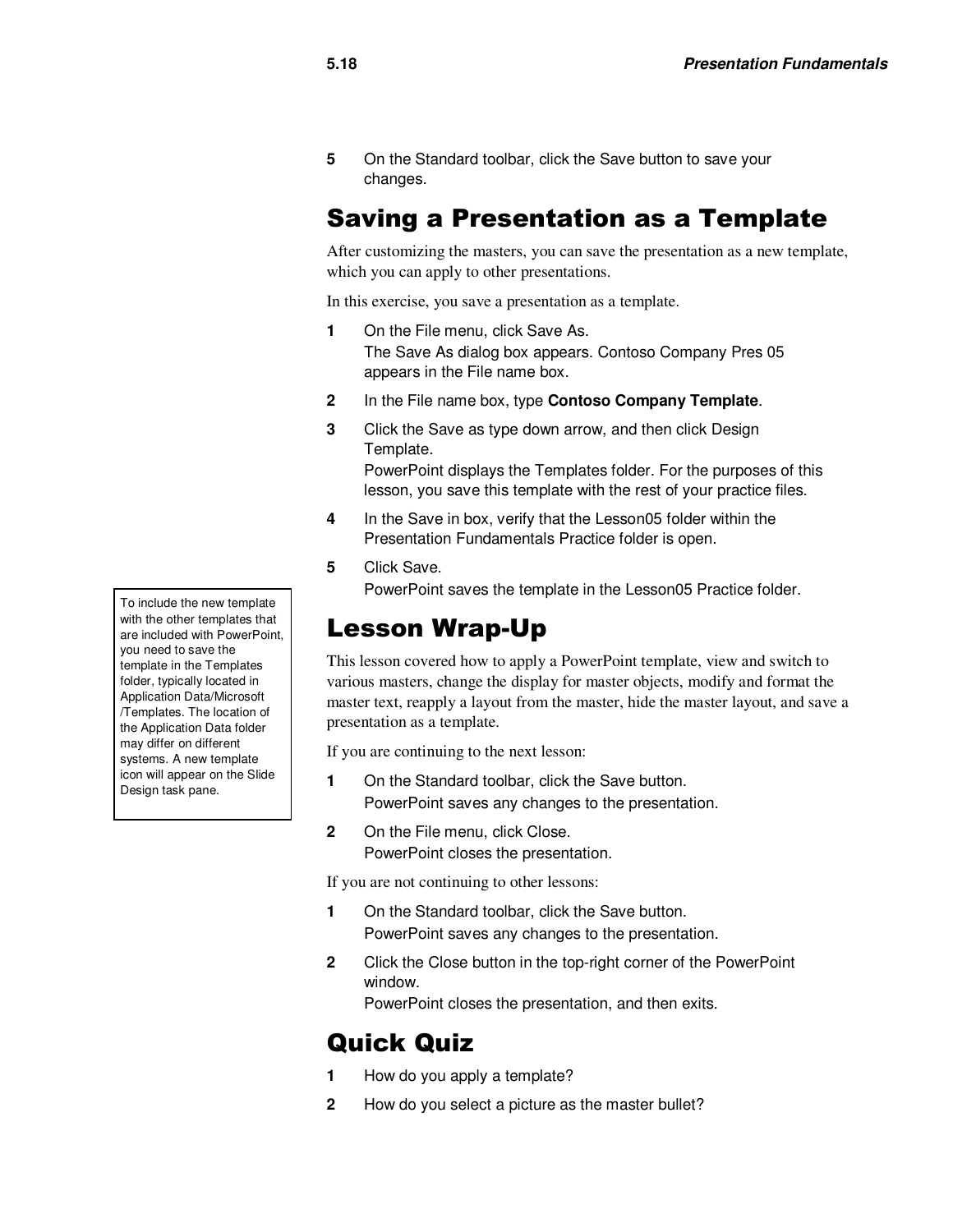**5** On the Standard toolbar, click the Save button to save your changes.

### Saving a Presentation as a Template

After customizing the masters, you can save the presentation as a new template, which you can apply to other presentations.

In this exercise, you save a presentation as a template.

- **1** On the File menu, click Save As. The Save As dialog box appears. Contoso Company Pres 05 appears in the File name box.
- **2** In the File name box, type **Contoso Company Template**.
- **3** Click the Save as type down arrow, and then click Design Template.

PowerPoint displays the Templates folder. For the purposes of this lesson, you save this template with the rest of your practice files.

- **4** In the Save in box, verify that the Lesson05 folder within the Presentation Fundamentals Practice folder is open.
- **5** Click Save.

PowerPoint saves the template in the Lesson05 Practice folder.

### Lesson Wrap-Up

This lesson covered how to apply a PowerPoint template, view and switch to various masters, change the display for master objects, modify and format the master text, reapply a layout from the master, hide the master layout, and save a presentation as a template.

If you are continuing to the next lesson:

- **1** On the Standard toolbar, click the Save button. PowerPoint saves any changes to the presentation.
- 2 On the File menu, click Close. PowerPoint closes the presentation.

If you are not continuing to other lessons:

- **1** On the Standard toolbar, click the Save button. PowerPoint saves any changes to the presentation.
- **2** Click the Close button in the top-right corner of the PowerPoint window.

PowerPoint closes the presentation, and then exits.

#### Quick Quiz

- **1** How do you apply a template?
- **2** How do you select a picture as the master bullet?

To include the new template with the other templates that are included with PowerPoint, you need to save the template in the Templates folder, typically located in Application Data/Microsoft /Templates. The location of the Application Data folder may differ on different systems. A new template icon will appear on the Slide Design task pane.